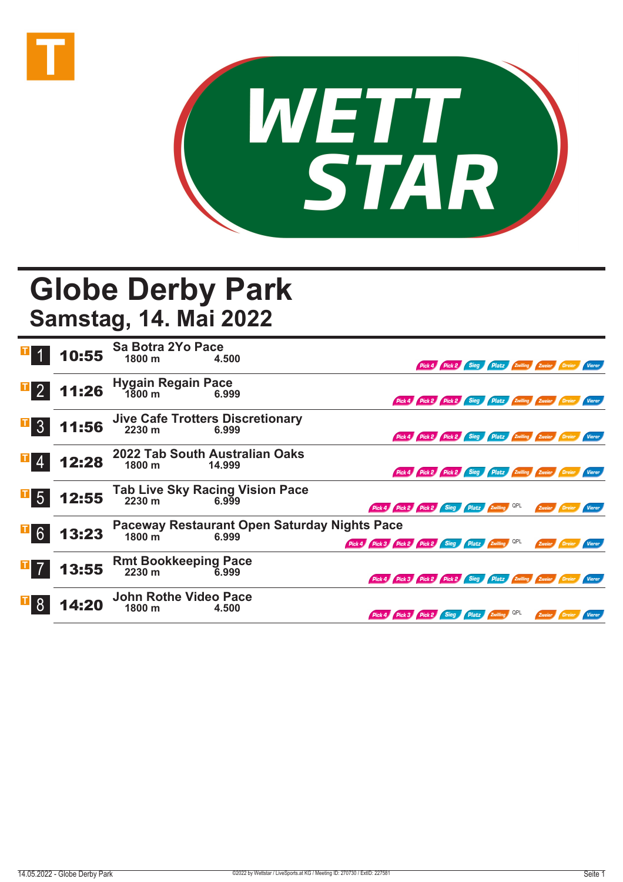



## **Globe Derby Park Samstag, 14. Mai 2022**

|                  |       | <b>10:55</b> Sa Botra 2Yo Pace                               |        |                                                               |                                                        |                                                 |  |  |  |        |          |               |
|------------------|-------|--------------------------------------------------------------|--------|---------------------------------------------------------------|--------------------------------------------------------|-------------------------------------------------|--|--|--|--------|----------|---------------|
|                  |       |                                                              | 4.500  |                                                               |                                                        | Pick 4 Pick 2 Sieg Platz Zwilling Zweier Dreier |  |  |  |        |          | <b>Vierer</b> |
| $\overline{1}$ 2 | 11:26 | Hygain Regain Pace<br>1800 m 1800                            | 6.999  |                                                               |                                                        |                                                 |  |  |  |        |          |               |
|                  |       |                                                              |        |                                                               | Pick 4 Pick 2 Pick 2 Sieg Platz Zwilling Zweier Dreier |                                                 |  |  |  |        |          |               |
| $\overline{1}$ 3 | 11:56 | Jive Cafe Trotters Discretionary<br>2230 m<br>6.999<br>6.999 |        |                                                               |                                                        |                                                 |  |  |  |        |          |               |
|                  |       |                                                              |        |                                                               | Pick 4 Pick 2 Pick 2 Sieg Platz Zwilling Zweier Dreier |                                                 |  |  |  |        |          | <b>Vierer</b> |
|                  | 12:28 | 2022 Tab South Australian Oaks                               |        |                                                               |                                                        |                                                 |  |  |  |        |          |               |
|                  |       | 1800 m                                                       | 14.999 |                                                               | Pick 4 Pick 2 Pick 2 Sieg Platz Zwilling Zweier Dreier |                                                 |  |  |  |        |          |               |
| $\blacksquare$ 5 |       | 12:55 Tab Live Sky Racing Vision Pace<br>6.999               |        |                                                               |                                                        |                                                 |  |  |  |        |          |               |
|                  |       |                                                              |        | Pick 4 Pick 2 Pick 2 Sieg Platz Zwilling QPL                  |                                                        |                                                 |  |  |  | Zweier | / Dreier | <b>Vierer</b> |
|                  | 13:23 | Paceway Restaurant Open Saturday Nights Pace                 |        |                                                               |                                                        |                                                 |  |  |  |        |          |               |
|                  |       | 1800 m<br>6.999                                              |        | Pick 4 Pick 3 Pick 2 Pick 2 Sieg Platz Zwilling QPL           |                                                        |                                                 |  |  |  | Zweier |          |               |
|                  | 13:55 | Rmt Bookkeeping Pace<br>2230 m 6.999                         |        |                                                               |                                                        |                                                 |  |  |  |        |          |               |
|                  |       |                                                              |        | Pick 4 Pick 3 Pick 2 Pick 2 Sieg Platz Zwilling Zweier Dreier |                                                        |                                                 |  |  |  |        |          | Vierer        |
|                  | 14:20 | <b>John Rothe Video Pace</b>                                 |        |                                                               |                                                        |                                                 |  |  |  |        |          |               |
|                  |       | 1800 m                                                       | 4.500  | Pick 4 Pick 3 Pick 2 Sieg Platz Zwilling                      |                                                        |                                                 |  |  |  | Zweier |          |               |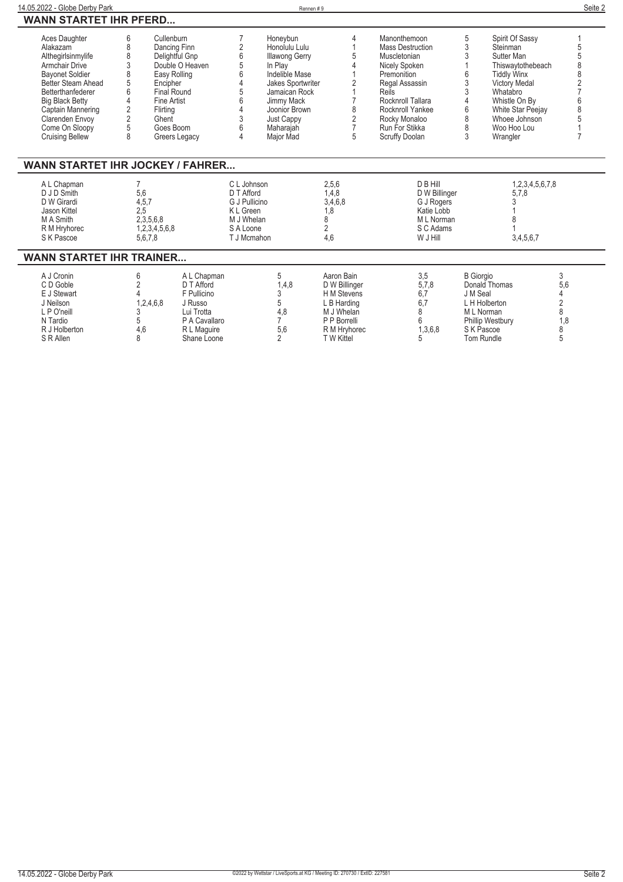| 14.05.2022 - Globe Derby Park                                                                                                                                                                                                                        |                                                                                                                                                         |                                                                                                                  |                                                                                                   | Rennen#9                                                                                                                                                                                     |                                                                                                                       |                                                                                                                                                                                                                  |                                                                                                                                     |                                                                                                                                           | Seite 2 |
|------------------------------------------------------------------------------------------------------------------------------------------------------------------------------------------------------------------------------------------------------|---------------------------------------------------------------------------------------------------------------------------------------------------------|------------------------------------------------------------------------------------------------------------------|---------------------------------------------------------------------------------------------------|----------------------------------------------------------------------------------------------------------------------------------------------------------------------------------------------|-----------------------------------------------------------------------------------------------------------------------|------------------------------------------------------------------------------------------------------------------------------------------------------------------------------------------------------------------|-------------------------------------------------------------------------------------------------------------------------------------|-------------------------------------------------------------------------------------------------------------------------------------------|---------|
| <b>WANN STARTET IHR PFERD</b>                                                                                                                                                                                                                        |                                                                                                                                                         |                                                                                                                  |                                                                                                   |                                                                                                                                                                                              |                                                                                                                       |                                                                                                                                                                                                                  |                                                                                                                                     |                                                                                                                                           |         |
| Aces Daughter<br>Alakazam<br>Althegirlsinmylife<br>Armchair Drive<br><b>Bayonet Soldier</b><br>Better Steam Ahead<br>Betterthanfederer<br><b>Big Black Betty</b><br>Captain Mannering<br>Clarenden Envoy<br>Come On Sloopy<br><b>Cruising Bellew</b> | 6<br>Cullenburn<br>8<br>8<br>3<br>8<br>5<br>Encipher<br>6<br>4<br><b>Fine Artist</b><br>$\overline{2}$<br>Flirting<br>$\overline{2}$<br>Ghent<br>5<br>8 | Dancing Finn<br>Delightful Gnp<br>Double O Heaven<br>Easy Rolling<br>Final Round<br>Goes Boom<br>Greers Legacy   | 7<br>$\overline{2}$<br>6<br>6<br>3<br>6<br>4                                                      | Honevbun<br>Honolulu Lulu<br><b>Illawong Gerry</b><br>In Play<br>Indelible Mase<br>Jakes Sportwriter<br>Jamaican Rock<br>Jimmy Mack<br>Joonior Brown<br>Just Cappy<br>Maharajah<br>Major Mad | 4<br>5<br>2<br>8<br>$\overline{2}$<br>$\overline{7}$<br>5                                                             | Manonthemoon<br>Mass Destruction<br>Muscletonian<br>Nicely Spoken<br>Premonition<br>Regal Assassin<br>Reils<br>Rocknroll Tallara<br>Rocknroll Yankee<br>Rocky Monaloo<br>Run For Stikka<br><b>Scruffy Doolan</b> | 5<br>3<br>Steinman<br>3<br>Sutter Man<br><b>Tiddly Winx</b><br>3<br>3<br>Whatabro<br>6<br>8<br>8<br>3<br>Wrangler                   | Spirit Of Sassy<br>Thiswaytothebeach<br><b>Victory Medal</b><br>Whistle On By<br><b>White Star Peejay</b><br>Whoee Johnson<br>Woo Hoo Lou | 8<br>2  |
| <b>WANN STARTET IHR JOCKEY / FAHRER</b>                                                                                                                                                                                                              |                                                                                                                                                         |                                                                                                                  |                                                                                                   |                                                                                                                                                                                              |                                                                                                                       |                                                                                                                                                                                                                  |                                                                                                                                     |                                                                                                                                           |         |
| A L Chapman<br>D J D Smith<br>D W Girardi<br>Jason Kittel<br>M A Smith<br>R M Hryhorec<br>S K Pascoe                                                                                                                                                 | 5,6<br>4,5,7<br>2,5<br>2,3,5,6,8<br>1,2,3,4,5,6,8<br>5,6,7,8                                                                                            |                                                                                                                  | C L Johnson<br>D T Afford<br>G J Pullicino<br>K L Green<br>M J Whelan<br>S A Loone<br>T J Mcmahon |                                                                                                                                                                                              | 2,5,6<br>1,4,8<br>3,4,6,8<br>1,8<br>8<br>$\overline{2}$<br>4.6                                                        | D B Hill<br>D W Billinger<br>G J Rogers<br>Katie Lobb<br>M L Norman<br>S C Adams<br>W J Hill                                                                                                                     |                                                                                                                                     | 1,2,3,4,5,6,7,8<br>5,7,8<br>3,4,5,6,7                                                                                                     |         |
| <b>WANN STARTET IHR TRAINER</b>                                                                                                                                                                                                                      |                                                                                                                                                         |                                                                                                                  |                                                                                                   |                                                                                                                                                                                              |                                                                                                                       |                                                                                                                                                                                                                  |                                                                                                                                     |                                                                                                                                           |         |
| A J Cronin<br>C D Goble<br>E J Stewart<br>J Neilson<br>L P O'neill<br>N Tardio<br>R J Holberton<br>S R Allen                                                                                                                                         | 6<br>1,2,4,6,8<br>3<br>5<br>4,6<br>8                                                                                                                    | A L Chapman<br>D T Afford<br>F Pullicino<br>J Russo<br>Lui Trotta<br>P A Cavallaro<br>R L Maguire<br>Shane Loone |                                                                                                   | 5<br>1,4,8<br>3<br>5<br>4,8<br>$\overline{7}$<br>5,6<br>$\mathfrak{p}$                                                                                                                       | Aaron Bain<br>D W Billinger<br>H M Stevens<br>L B Harding<br>M J Whelan<br>P P Borrelli<br>R M Hryhorec<br>T W Kittel | 3,5<br>5,7,8<br>6,7<br>6.7<br>8<br>6<br>1,3,6,8<br>5                                                                                                                                                             | <b>B</b> Giorgio<br>Donald Thomas<br>J M Seal<br>L H Holberton<br>M L Norman<br>Phillip Westbury<br>S K Pascoe<br><b>Tom Rundle</b> | 3<br>5,6<br>4<br>$\overline{2}$<br>8<br>1.8<br>8<br>5                                                                                     |         |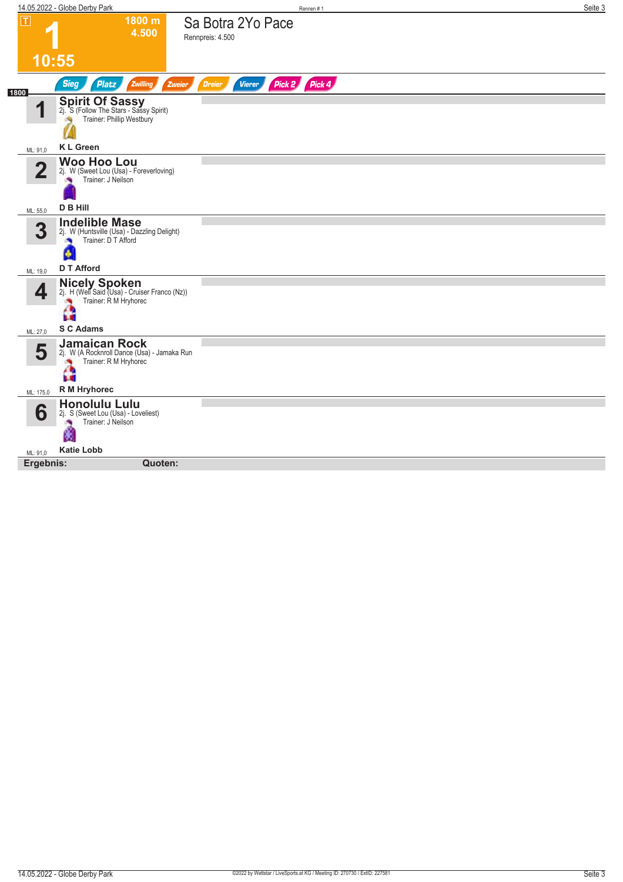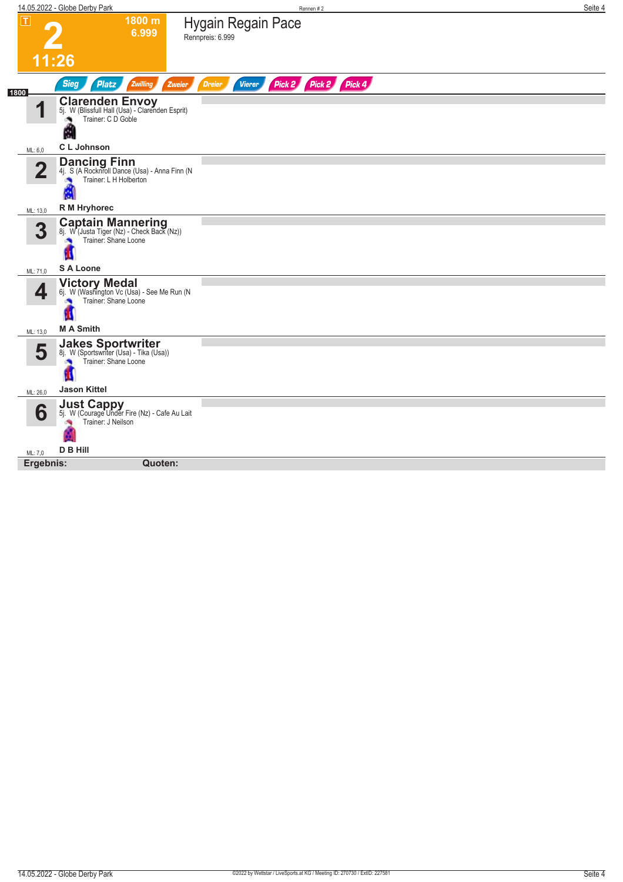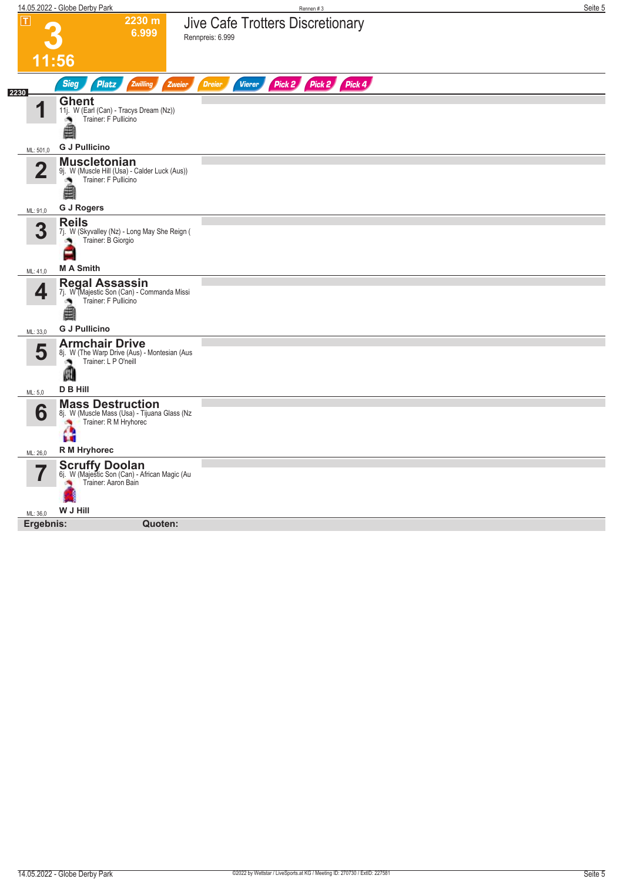|                         | 14.05.2022 - Globe Derby Park                                                                                   | Rennen #3                                                 | Seite 5 |
|-------------------------|-----------------------------------------------------------------------------------------------------------------|-----------------------------------------------------------|---------|
| $ \mathsf{T} $          | 2230 m<br>6.999                                                                                                 | Jive Cafe Trotters Discretionary<br>Rennpreis: 6.999      |         |
|                         | 11:56                                                                                                           |                                                           |         |
| 2230                    | <b>Sieg</b><br><b>Platz</b><br>Zwilling<br>Zweier                                                               | Pick 2 Pick 4<br>Pick 2<br><b>Dreier</b><br><b>Vierer</b> |         |
| И                       | <b>Ghent</b><br>11j. W (Earl (Can) - Tracys Dream (Nz))<br>Trainer: F Pullicino<br>×<br>≜                       |                                                           |         |
| ML: 501,0               | <b>G J Pullicino</b>                                                                                            |                                                           |         |
| $\overline{\mathbf{2}}$ | <b>Muscletonian</b><br>9j. W (Muscle Hill (Usa) - Calder Luck (Aus))<br>Trainer: F Pullicino<br>۸<br>≜          |                                                           |         |
|                         | <b>G J Rogers</b>                                                                                               |                                                           |         |
| ML: 91,0                | <b>Reils</b>                                                                                                    |                                                           |         |
| 3                       | 7j. W (Skyvalley (Nz) - Long May She Reign (<br>Trainer: B Giorgio<br>۸<br>Ξ                                    |                                                           |         |
| ML: 41.0                | <b>MA Smith</b>                                                                                                 |                                                           |         |
| 4                       | <b>Regal Assassin</b><br>7j. W (Majestic Son (Can) - Commanda Missi<br>Trainer: F Pullicino<br>o.<br>≜          |                                                           |         |
| ML: 33,0                | <b>G J Pullicino</b>                                                                                            |                                                           |         |
| 5                       | <b>Armchair Drive</b><br>8j. W (The Warp Drive (Aus) - Montesian (Aus<br>Trainer: L P O'neill<br>⋒              |                                                           |         |
| ML: 5,0                 | <b>D B Hill</b>                                                                                                 |                                                           |         |
| 6                       | <b>Mass Destruction</b><br>8j. W (Muscle Mass (Usa) - Tijuana Glass (Nz<br>Trainer: R M Hryhorec<br>×<br>ъ<br>ш |                                                           |         |
| ML: 26,0                | <b>R</b> M Hryhorec                                                                                             |                                                           |         |
|                         | <b>Scruffy Doolan</b><br>6j. W (Majestic Son (Can) - African Magic (Au<br>Trainer: Aaron Bain                   |                                                           |         |
| ML: 36,0                | W J Hill                                                                                                        |                                                           |         |
| Ergebnis:               | Quoten:                                                                                                         |                                                           |         |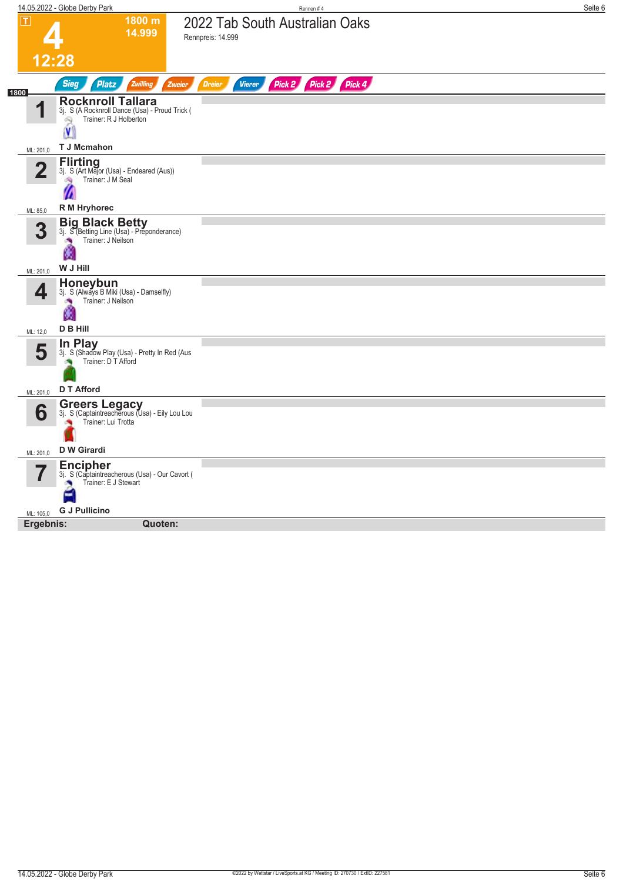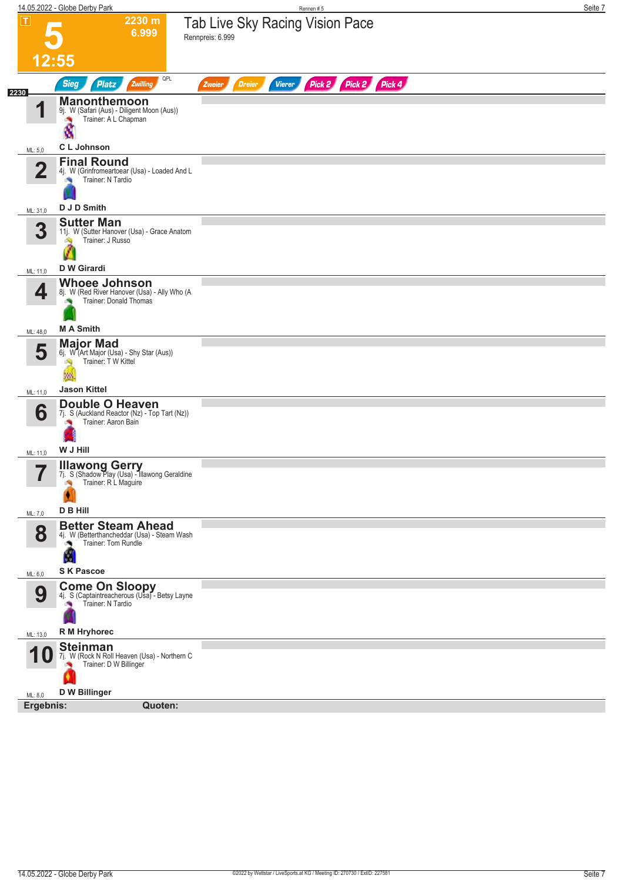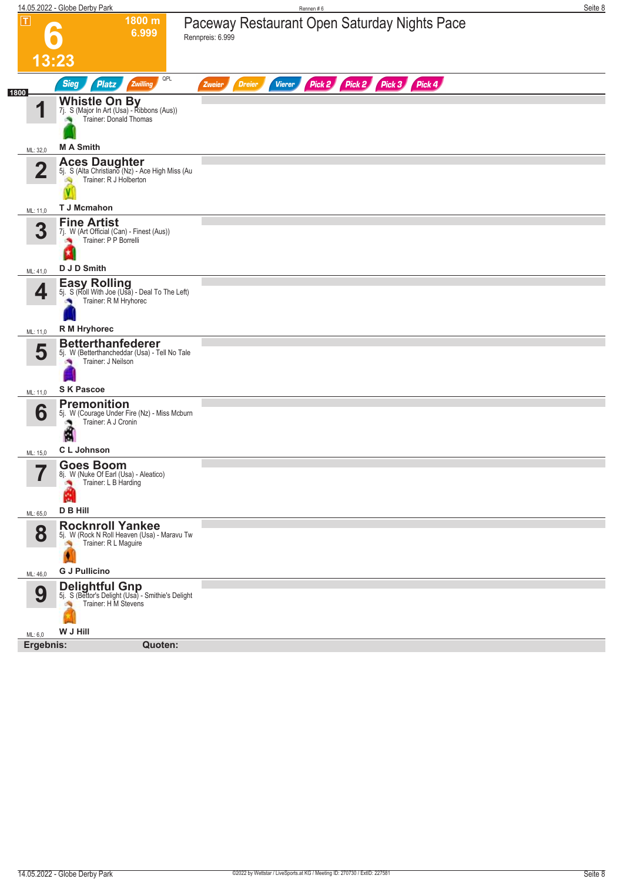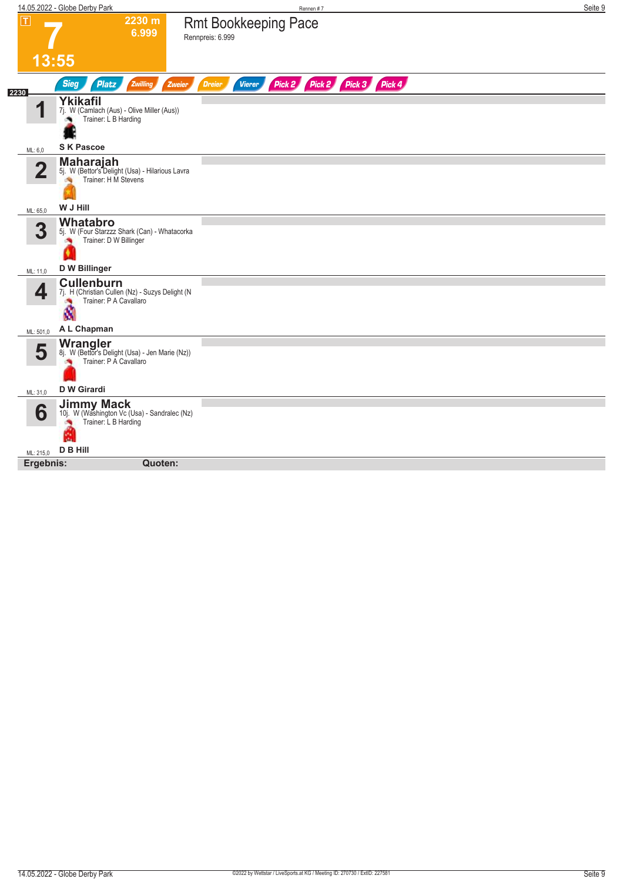